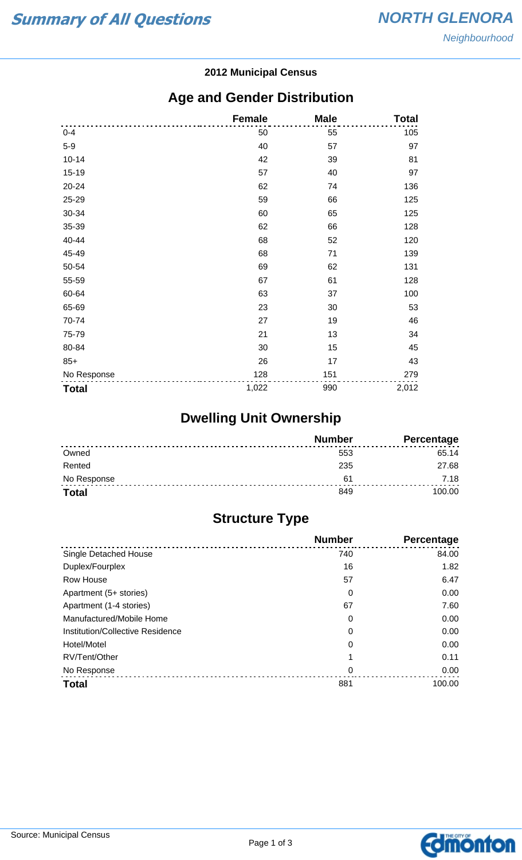#### **2012 Municipal Census**

## **Age and Gender Distribution**

|              | <b>Female</b> | <b>Male</b> | <b>Total</b> |
|--------------|---------------|-------------|--------------|
| $0 - 4$      | 50            | 55          | 105          |
| $5-9$        | 40            | 57          | 97           |
| $10 - 14$    | 42            | 39          | 81           |
| 15-19        | 57            | 40          | 97           |
| 20-24        | 62            | 74          | 136          |
| 25-29        | 59            | 66          | 125          |
| 30-34        | 60            | 65          | 125          |
| 35-39        | 62            | 66          | 128          |
| 40-44        | 68            | 52          | 120          |
| 45-49        | 68            | 71          | 139          |
| 50-54        | 69            | 62          | 131          |
| 55-59        | 67            | 61          | 128          |
| 60-64        | 63            | 37          | 100          |
| 65-69        | 23            | 30          | 53           |
| 70-74        | 27            | 19          | 46           |
| 75-79        | 21            | 13          | 34           |
| 80-84        | 30            | 15          | 45           |
| $85+$        | 26            | 17          | 43           |
| No Response  | 128           | 151         | 279          |
| <b>Total</b> | 1,022         | 990         | 2,012        |

# **Dwelling Unit Ownership**

|              | <b>Number</b> | <b>Percentage</b> |
|--------------|---------------|-------------------|
| Owned        | 553           | 65.14             |
| Rented       | 235           | 27.68             |
| No Response  | 61            | 7.18              |
| <b>Total</b> | 849           | 100.00            |

# **Structure Type**

|                                  | <b>Number</b> | Percentage |
|----------------------------------|---------------|------------|
| Single Detached House            | 740           | 84.00      |
| Duplex/Fourplex                  | 16            | 1.82       |
| Row House                        | 57            | 6.47       |
| Apartment (5+ stories)           | 0             | 0.00       |
| Apartment (1-4 stories)          | 67            | 7.60       |
| Manufactured/Mobile Home         | 0             | 0.00       |
| Institution/Collective Residence | 0             | 0.00       |
| Hotel/Motel                      | 0             | 0.00       |
| RV/Tent/Other                    |               | 0.11       |
| No Response                      | 0             | 0.00       |
| <b>Total</b>                     | 881           | 100.00     |

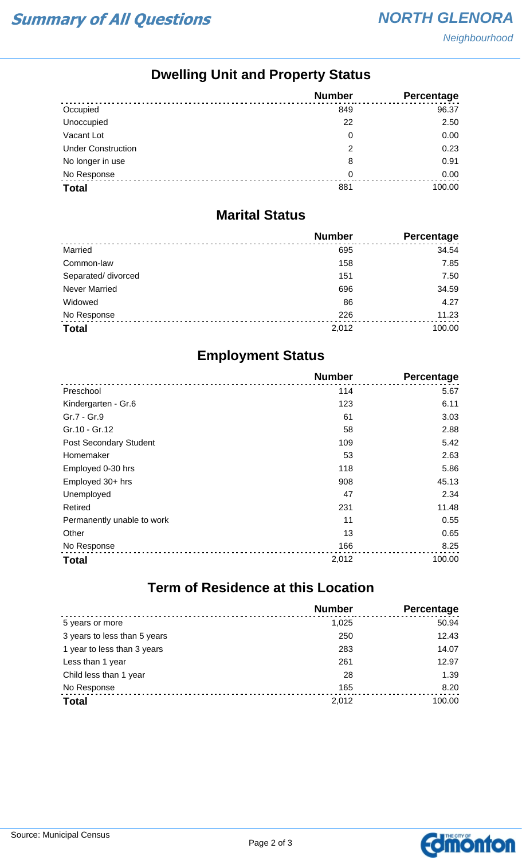Neighbourhood

## **Dwelling Unit and Property Status**

|                           | <b>Number</b> | <b>Percentage</b> |
|---------------------------|---------------|-------------------|
| Occupied                  | 849           | 96.37             |
| Unoccupied                | 22            | 2.50              |
| Vacant Lot                | 0             | 0.00              |
| <b>Under Construction</b> | 2             | 0.23              |
| No longer in use          | 8             | 0.91              |
| No Response               | 0             | 0.00              |
| <b>Total</b>              | 881           | 100.00            |

#### **Marital Status**

|                      | <b>Number</b> | Percentage |
|----------------------|---------------|------------|
| Married              | 695           | 34.54      |
| Common-law           | 158           | 7.85       |
| Separated/ divorced  | 151           | 7.50       |
| <b>Never Married</b> | 696           | 34.59      |
| Widowed              | 86            | 4.27       |
| No Response          | 226           | 11.23      |
| <b>Total</b>         | 2,012         | 100.00     |

## **Employment Status**

|                               | <b>Number</b> | Percentage |
|-------------------------------|---------------|------------|
| Preschool                     | 114           | 5.67       |
| Kindergarten - Gr.6           | 123           | 6.11       |
| Gr.7 - Gr.9                   | 61            | 3.03       |
| Gr.10 - Gr.12                 | 58            | 2.88       |
| <b>Post Secondary Student</b> | 109           | 5.42       |
| Homemaker                     | 53            | 2.63       |
| Employed 0-30 hrs             | 118           | 5.86       |
| Employed 30+ hrs              | 908           | 45.13      |
| Unemployed                    | 47            | 2.34       |
| Retired                       | 231           | 11.48      |
| Permanently unable to work    | 11            | 0.55       |
| Other                         | 13            | 0.65       |
| No Response                   | 166           | 8.25       |
| <b>Total</b>                  | 2,012         | 100.00     |

# **Term of Residence at this Location**

|                              | <b>Number</b> | Percentage |
|------------------------------|---------------|------------|
| 5 years or more              | 1,025         | 50.94      |
| 3 years to less than 5 years | 250           | 12.43      |
| 1 year to less than 3 years  | 283           | 14.07      |
| Less than 1 year             | 261           | 12.97      |
| Child less than 1 year       | 28            | 1.39       |
| No Response                  | 165           | 8.20       |
| <b>Total</b>                 | 2,012         | 100.00     |